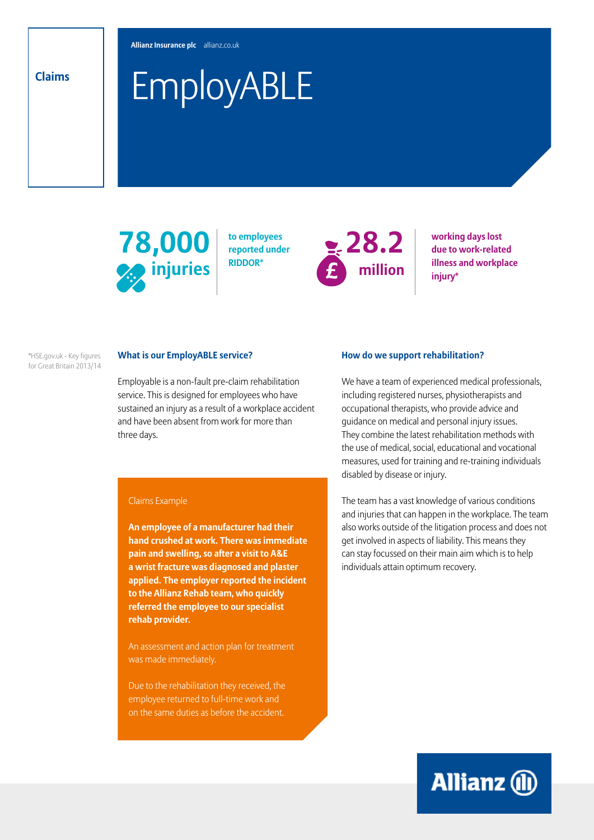**Allianz Insurance plc** allianz.co.uk

# EmployABLE **Claims**



**to employees reported under RIDDOR\*** 



**working days lost due to work-related illness and workplace injury\***

\*HSE.gov.uk - Key figures for Great Britain 2013/14

## **What is our EmployABLE service?**

Employable is a non-fault pre-claim rehabilitation service. This is designed for employees who have sustained an injury as a result of a workplace accident and have been absent from work for more than three days.

#### Claims Example

**An employee of a manufacturer had their hand crushed at work. There was immediate pain and swelling, so after a visit to A&E a wrist fracture was diagnosed and plaster applied. The employer reported the incident to the Allianz Rehab team, who quickly referred the employee to our specialist rehab provider.** 

An assessment and action plan for treatment was made immediately.

Due to the rehabilitation they received, the employee returned to full-time work and on the same duties as before the accident.

### **How do we support rehabilitation?**

We have a team of experienced medical professionals, including registered nurses, physiotherapists and occupational therapists, who provide advice and guidance on medical and personal injury issues. They combine the latest rehabilitation methods with the use of medical, social, educational and vocational measures, used for training and re-training individuals disabled by disease or injury.

The team has a vast knowledge of various conditions and injuries that can happen in the workplace. The team also works outside of the litigation process and does not get involved in aspects of liability. This means they can stay focussed on their main aim which is to help individuals attain optimum recovery.